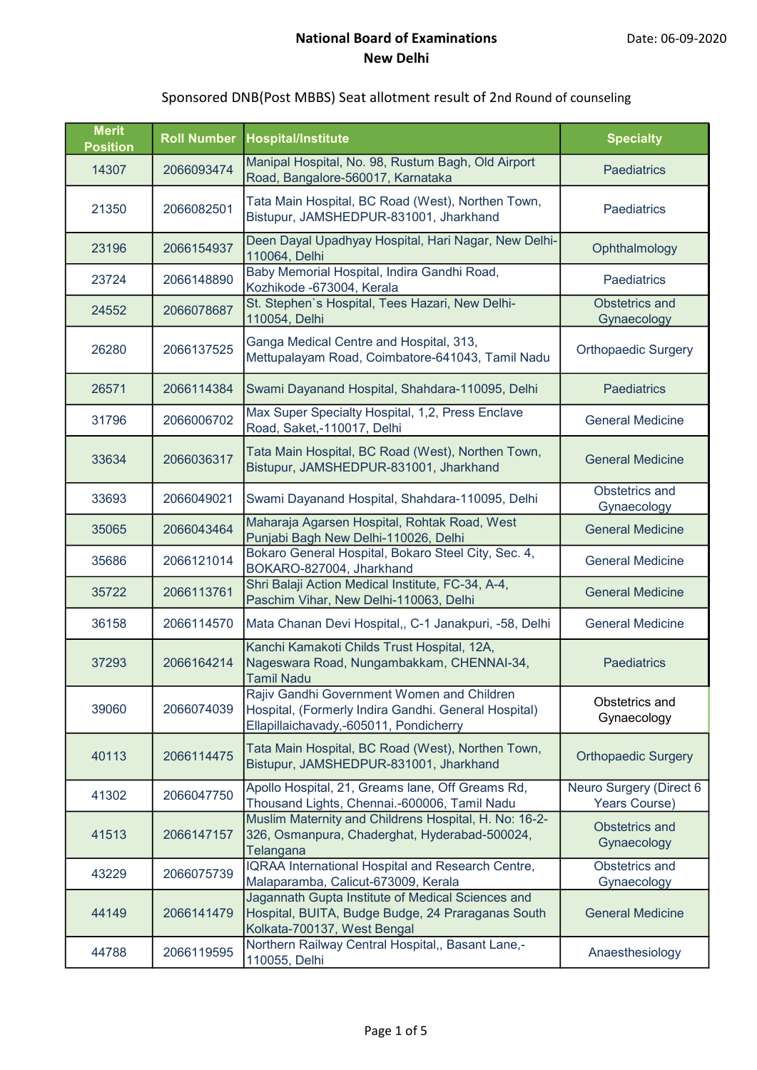|  | Sponsored DNB(Post MBBS) Seat allotment result of 2nd Round of counseling |
|--|---------------------------------------------------------------------------|
|--|---------------------------------------------------------------------------|

| <b>Merit</b><br><b>Position</b> | <b>Roll Number</b> | <b>Hospital/Institute</b>                                                                                                                    | <b>Specialty</b>                         |
|---------------------------------|--------------------|----------------------------------------------------------------------------------------------------------------------------------------------|------------------------------------------|
| 14307                           | 2066093474         | Manipal Hospital, No. 98, Rustum Bagh, Old Airport<br>Road, Bangalore-560017, Karnataka                                                      | <b>Paediatrics</b>                       |
| 21350                           | 2066082501         | Tata Main Hospital, BC Road (West), Northen Town,<br>Bistupur, JAMSHEDPUR-831001, Jharkhand                                                  | Paediatrics                              |
| 23196                           | 2066154937         | Deen Dayal Upadhyay Hospital, Hari Nagar, New Delhi-<br>110064, Delhi                                                                        | Ophthalmology                            |
| 23724                           | 2066148890         | Baby Memorial Hospital, Indira Gandhi Road,<br>Kozhikode -673004, Kerala                                                                     | <b>Paediatrics</b>                       |
| 24552                           | 2066078687         | St. Stephen's Hospital, Tees Hazari, New Delhi-<br>110054, Delhi                                                                             | <b>Obstetrics and</b><br>Gynaecology     |
| 26280                           | 2066137525         | Ganga Medical Centre and Hospital, 313,<br>Mettupalayam Road, Coimbatore-641043, Tamil Nadu                                                  | <b>Orthopaedic Surgery</b>               |
| 26571                           | 2066114384         | Swami Dayanand Hospital, Shahdara-110095, Delhi                                                                                              | <b>Paediatrics</b>                       |
| 31796                           | 2066006702         | Max Super Specialty Hospital, 1,2, Press Enclave<br>Road, Saket,-110017, Delhi                                                               | <b>General Medicine</b>                  |
| 33634                           | 2066036317         | Tata Main Hospital, BC Road (West), Northen Town,<br>Bistupur, JAMSHEDPUR-831001, Jharkhand                                                  | <b>General Medicine</b>                  |
| 33693                           | 2066049021         | Swami Dayanand Hospital, Shahdara-110095, Delhi                                                                                              | Obstetrics and<br>Gynaecology            |
| 35065                           | 2066043464         | Maharaja Agarsen Hospital, Rohtak Road, West<br>Punjabi Bagh New Delhi-110026, Delhi                                                         | <b>General Medicine</b>                  |
| 35686                           | 2066121014         | Bokaro General Hospital, Bokaro Steel City, Sec. 4,<br>BOKARO-827004, Jharkhand                                                              | <b>General Medicine</b>                  |
| 35722                           | 2066113761         | Shri Balaji Action Medical Institute, FC-34, A-4,<br>Paschim Vihar, New Delhi-110063, Delhi                                                  | <b>General Medicine</b>                  |
| 36158                           | 2066114570         | Mata Chanan Devi Hospital,, C-1 Janakpuri, -58, Delhi                                                                                        | <b>General Medicine</b>                  |
| 37293                           | 2066164214         | Kanchi Kamakoti Childs Trust Hospital, 12A,<br>Nageswara Road, Nungambakkam, CHENNAI-34,<br><b>Tamil Nadu</b>                                | <b>Paediatrics</b>                       |
| 39060                           | 2066074039         | Rajiv Gandhi Government Women and Children<br>Hospital, (Formerly Indira Gandhi. General Hospital)<br>Ellapillaichavady,-605011, Pondicherry | Obstetrics and<br>Gynaecology            |
| 40113                           | 2066114475         | Tata Main Hospital, BC Road (West), Northen Town,<br>Bistupur, JAMSHEDPUR-831001, Jharkhand                                                  | <b>Orthopaedic Surgery</b>               |
| 41302                           | 2066047750         | Apollo Hospital, 21, Greams lane, Off Greams Rd,<br>Thousand Lights, Chennai.-600006, Tamil Nadu                                             | Neuro Surgery (Direct 6<br>Years Course) |
| 41513                           | 2066147157         | Muslim Maternity and Childrens Hospital, H. No: 16-2-<br>326, Osmanpura, Chaderghat, Hyderabad-500024,<br>Telangana                          | <b>Obstetrics and</b><br>Gynaecology     |
| 43229                           | 2066075739         | IQRAA International Hospital and Research Centre,<br>Malaparamba, Calicut-673009, Kerala                                                     | Obstetrics and<br>Gynaecology            |
| 44149                           | 2066141479         | Jagannath Gupta Institute of Medical Sciences and<br>Hospital, BUITA, Budge Budge, 24 Praraganas South<br>Kolkata-700137, West Bengal        | <b>General Medicine</b>                  |
| 44788                           | 2066119595         | Northern Railway Central Hospital,, Basant Lane,-<br>110055, Delhi                                                                           | Anaesthesiology                          |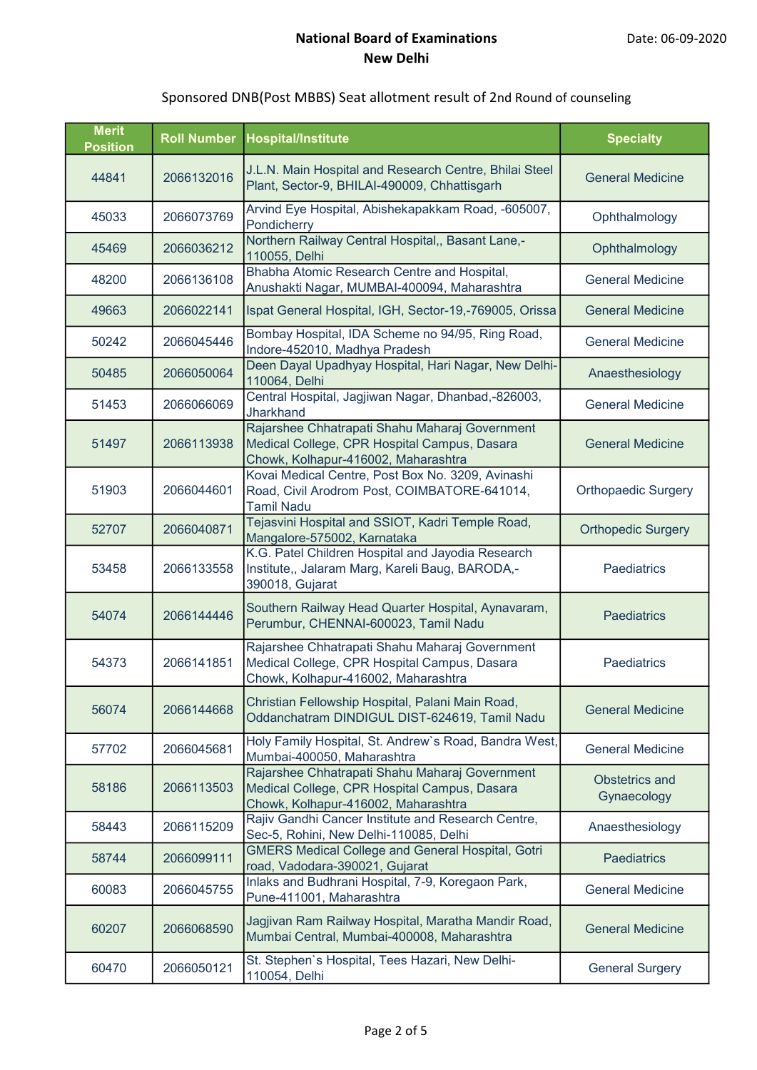| <b>Merit</b><br><b>Position</b> | <b>Roll Number</b> | <b>Hospital/Institute</b>                                                                                                             | <b>Specialty</b>                     |
|---------------------------------|--------------------|---------------------------------------------------------------------------------------------------------------------------------------|--------------------------------------|
| 44841                           | 2066132016         | J.L.N. Main Hospital and Research Centre, Bhilai Steel<br>Plant, Sector-9, BHILAI-490009, Chhattisgarh                                | <b>General Medicine</b>              |
| 45033                           | 2066073769         | Arvind Eye Hospital, Abishekapakkam Road, -605007,<br>Pondicherry                                                                     | Ophthalmology                        |
| 45469                           | 2066036212         | Northern Railway Central Hospital,, Basant Lane,-<br>110055, Delhi                                                                    | Ophthalmology                        |
| 48200                           | 2066136108         | Bhabha Atomic Research Centre and Hospital,<br>Anushakti Nagar, MUMBAI-400094, Maharashtra                                            | <b>General Medicine</b>              |
| 49663                           | 2066022141         | Ispat General Hospital, IGH, Sector-19,-769005, Orissa                                                                                | <b>General Medicine</b>              |
| 50242                           | 2066045446         | Bombay Hospital, IDA Scheme no 94/95, Ring Road,<br>Indore-452010, Madhya Pradesh                                                     | <b>General Medicine</b>              |
| 50485                           | 2066050064         | Deen Dayal Upadhyay Hospital, Hari Nagar, New Delhi-<br>110064, Delhi                                                                 | Anaesthesiology                      |
| 51453                           | 2066066069         | Central Hospital, Jagjiwan Nagar, Dhanbad,-826003,<br>Jharkhand                                                                       | <b>General Medicine</b>              |
| 51497                           | 2066113938         | Rajarshee Chhatrapati Shahu Maharaj Government<br>Medical College, CPR Hospital Campus, Dasara<br>Chowk, Kolhapur-416002, Maharashtra | <b>General Medicine</b>              |
| 51903                           | 2066044601         | Kovai Medical Centre, Post Box No. 3209, Avinashi<br>Road, Civil Arodrom Post, COIMBATORE-641014,<br><b>Tamil Nadu</b>                | <b>Orthopaedic Surgery</b>           |
| 52707                           | 2066040871         | Tejasvini Hospital and SSIOT, Kadri Temple Road,<br>Mangalore-575002, Karnataka                                                       | <b>Orthopedic Surgery</b>            |
| 53458                           | 2066133558         | K.G. Patel Children Hospital and Jayodia Research<br>Institute,, Jalaram Marg, Kareli Baug, BARODA,-<br>390018, Gujarat               | <b>Paediatrics</b>                   |
| 54074                           | 2066144446         | Southern Railway Head Quarter Hospital, Aynavaram,<br>Perumbur, CHENNAI-600023, Tamil Nadu                                            | <b>Paediatrics</b>                   |
| 54373                           | 2066141851         | Rajarshee Chhatrapati Shahu Maharaj Government<br>Medical College, CPR Hospital Campus, Dasara<br>Chowk, Kolhapur-416002, Maharashtra | Paediatrics                          |
| 56074                           | 2066144668         | Christian Fellowship Hospital, Palani Main Road,<br>Oddanchatram DINDIGUL DIST-624619, Tamil Nadu                                     | <b>General Medicine</b>              |
| 57702                           | 2066045681         | Holy Family Hospital, St. Andrew's Road, Bandra West,<br>Mumbai-400050, Maharashtra                                                   | <b>General Medicine</b>              |
| 58186                           | 2066113503         | Rajarshee Chhatrapati Shahu Maharaj Government<br>Medical College, CPR Hospital Campus, Dasara<br>Chowk, Kolhapur-416002, Maharashtra | <b>Obstetrics and</b><br>Gynaecology |
| 58443                           | 2066115209         | Rajiv Gandhi Cancer Institute and Research Centre,<br>Sec-5, Rohini, New Delhi-110085, Delhi                                          | Anaesthesiology                      |
| 58744                           | 2066099111         | <b>GMERS Medical College and General Hospital, Gotri</b><br>road, Vadodara-390021, Gujarat                                            | <b>Paediatrics</b>                   |
| 60083                           | 2066045755         | Inlaks and Budhrani Hospital, 7-9, Koregaon Park,<br>Pune-411001, Maharashtra                                                         | <b>General Medicine</b>              |
| 60207                           | 2066068590         | Jagjivan Ram Railway Hospital, Maratha Mandir Road,<br>Mumbai Central, Mumbai-400008, Maharashtra                                     | <b>General Medicine</b>              |
| 60470                           | 2066050121         | St. Stephen's Hospital, Tees Hazari, New Delhi-<br>110054, Delhi                                                                      | <b>General Surgery</b>               |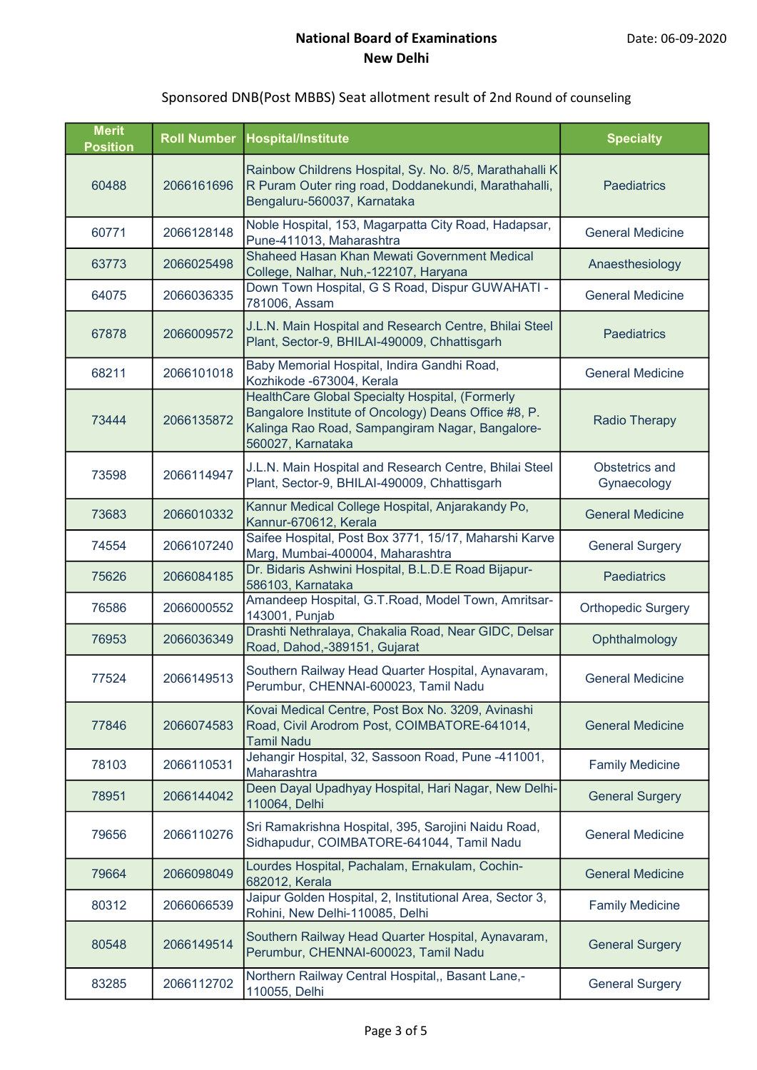| <b>Merit</b><br><b>Position</b> | <b>Roll Number</b> | <b>Hospital/Institute</b>                                                                                                                                                       | <b>Specialty</b>              |
|---------------------------------|--------------------|---------------------------------------------------------------------------------------------------------------------------------------------------------------------------------|-------------------------------|
| 60488                           | 2066161696         | Rainbow Childrens Hospital, Sy. No. 8/5, Marathahalli K<br>R Puram Outer ring road, Doddanekundi, Marathahalli,<br>Bengaluru-560037, Karnataka                                  | <b>Paediatrics</b>            |
| 60771                           | 2066128148         | Noble Hospital, 153, Magarpatta City Road, Hadapsar,<br>Pune-411013, Maharashtra                                                                                                | <b>General Medicine</b>       |
| 63773                           | 2066025498         | Shaheed Hasan Khan Mewati Government Medical<br>College, Nalhar, Nuh,-122107, Haryana                                                                                           | Anaesthesiology               |
| 64075                           | 2066036335         | Down Town Hospital, G S Road, Dispur GUWAHATI -<br>781006, Assam                                                                                                                | <b>General Medicine</b>       |
| 67878                           | 2066009572         | J.L.N. Main Hospital and Research Centre, Bhilai Steel<br>Plant, Sector-9, BHILAI-490009, Chhattisgarh                                                                          | <b>Paediatrics</b>            |
| 68211                           | 2066101018         | Baby Memorial Hospital, Indira Gandhi Road,<br>Kozhikode -673004, Kerala                                                                                                        | <b>General Medicine</b>       |
| 73444                           | 2066135872         | HealthCare Global Specialty Hospital, (Formerly<br>Bangalore Institute of Oncology) Deans Office #8, P.<br>Kalinga Rao Road, Sampangiram Nagar, Bangalore-<br>560027, Karnataka | <b>Radio Therapy</b>          |
| 73598                           | 2066114947         | J.L.N. Main Hospital and Research Centre, Bhilai Steel<br>Plant, Sector-9, BHILAI-490009, Chhattisgarh                                                                          | Obstetrics and<br>Gynaecology |
| 73683                           | 2066010332         | Kannur Medical College Hospital, Anjarakandy Po,<br>Kannur-670612, Kerala                                                                                                       | <b>General Medicine</b>       |
| 74554                           | 2066107240         | Saifee Hospital, Post Box 3771, 15/17, Maharshi Karve<br>Marg, Mumbai-400004, Maharashtra                                                                                       | <b>General Surgery</b>        |
| 75626                           | 2066084185         | Dr. Bidaris Ashwini Hospital, B.L.D.E Road Bijapur-<br>586103, Karnataka                                                                                                        | <b>Paediatrics</b>            |
| 76586                           | 2066000552         | Amandeep Hospital, G.T.Road, Model Town, Amritsar-<br>143001, Punjab                                                                                                            | <b>Orthopedic Surgery</b>     |
| 76953                           | 2066036349         | Drashti Nethralaya, Chakalia Road, Near GIDC, Delsar<br>Road, Dahod,-389151, Gujarat                                                                                            | Ophthalmology                 |
| 77524                           | 2066149513         | Southern Railway Head Quarter Hospital, Aynavaram,<br>Perumbur, CHENNAI-600023, Tamil Nadu                                                                                      | <b>General Medicine</b>       |
| 77846                           | 2066074583         | Kovai Medical Centre, Post Box No. 3209, Avinashi<br>Road, Civil Arodrom Post, COIMBATORE-641014,<br><b>Tamil Nadu</b>                                                          | <b>General Medicine</b>       |
| 78103                           | 2066110531         | Jehangir Hospital, 32, Sassoon Road, Pune -411001,<br>Maharashtra                                                                                                               | <b>Family Medicine</b>        |
| 78951                           | 2066144042         | Deen Dayal Upadhyay Hospital, Hari Nagar, New Delhi-<br>110064, Delhi                                                                                                           | <b>General Surgery</b>        |
| 79656                           | 2066110276         | Sri Ramakrishna Hospital, 395, Sarojini Naidu Road,<br>Sidhapudur, COIMBATORE-641044, Tamil Nadu                                                                                | <b>General Medicine</b>       |
| 79664                           | 2066098049         | Lourdes Hospital, Pachalam, Ernakulam, Cochin-<br>682012, Kerala                                                                                                                | <b>General Medicine</b>       |
| 80312                           | 2066066539         | Jaipur Golden Hospital, 2, Institutional Area, Sector 3,<br>Rohini, New Delhi-110085, Delhi                                                                                     | <b>Family Medicine</b>        |
| 80548                           | 2066149514         | Southern Railway Head Quarter Hospital, Aynavaram,<br>Perumbur, CHENNAI-600023, Tamil Nadu                                                                                      | <b>General Surgery</b>        |
| 83285                           | 2066112702         | Northern Railway Central Hospital,, Basant Lane,-<br>110055, Delhi                                                                                                              | <b>General Surgery</b>        |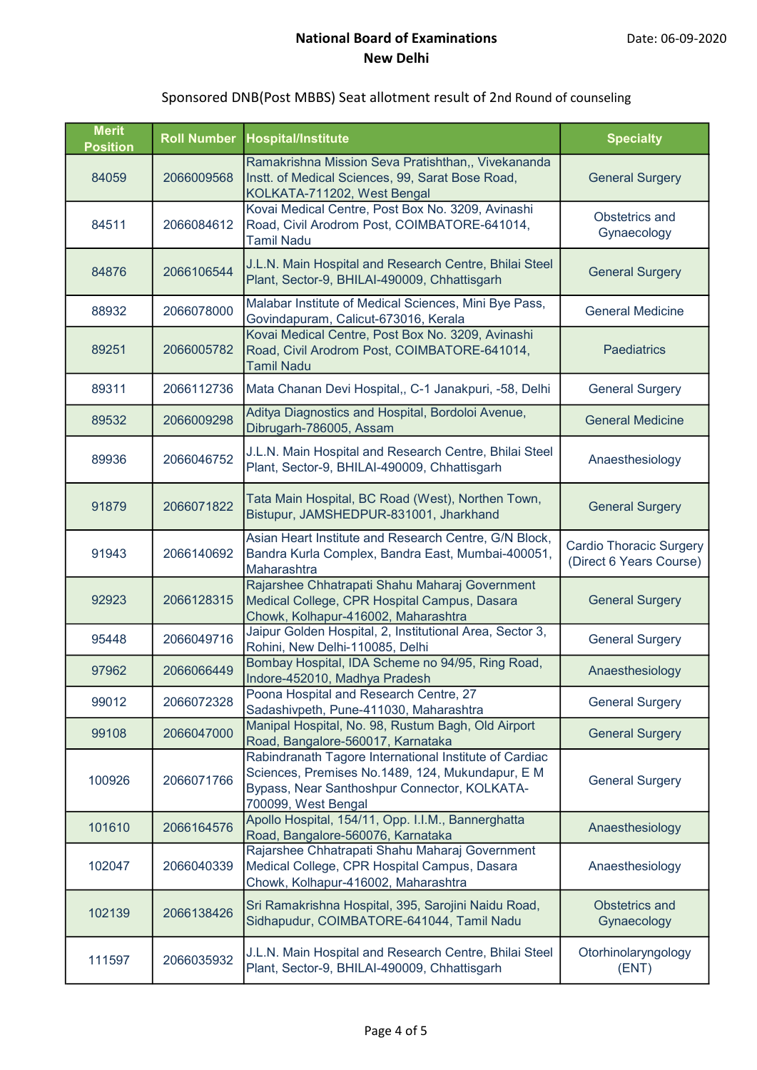| <b>Merit</b><br><b>Position</b> | <b>Roll Number</b> | <b>Hospital/Institute</b>                                                                                                                                                         | <b>Specialty</b>                                          |
|---------------------------------|--------------------|-----------------------------------------------------------------------------------------------------------------------------------------------------------------------------------|-----------------------------------------------------------|
| 84059                           | 2066009568         | Ramakrishna Mission Seva Pratishthan,, Vivekananda<br>Instt. of Medical Sciences, 99, Sarat Bose Road,<br>KOLKATA-711202, West Bengal                                             | <b>General Surgery</b>                                    |
| 84511                           | 2066084612         | Kovai Medical Centre, Post Box No. 3209, Avinashi<br>Road, Civil Arodrom Post, COIMBATORE-641014,<br><b>Tamil Nadu</b>                                                            | Obstetrics and<br>Gynaecology                             |
| 84876                           | 2066106544         | J.L.N. Main Hospital and Research Centre, Bhilai Steel<br>Plant, Sector-9, BHILAI-490009, Chhattisgarh                                                                            | <b>General Surgery</b>                                    |
| 88932                           | 2066078000         | Malabar Institute of Medical Sciences, Mini Bye Pass,<br>Govindapuram, Calicut-673016, Kerala                                                                                     | <b>General Medicine</b>                                   |
| 89251                           | 2066005782         | Kovai Medical Centre, Post Box No. 3209, Avinashi<br>Road, Civil Arodrom Post, COIMBATORE-641014,<br><b>Tamil Nadu</b>                                                            | <b>Paediatrics</b>                                        |
| 89311                           | 2066112736         | Mata Chanan Devi Hospital,, C-1 Janakpuri, -58, Delhi                                                                                                                             | <b>General Surgery</b>                                    |
| 89532                           | 2066009298         | Aditya Diagnostics and Hospital, Bordoloi Avenue,<br>Dibrugarh-786005, Assam                                                                                                      | <b>General Medicine</b>                                   |
| 89936                           | 2066046752         | J.L.N. Main Hospital and Research Centre, Bhilai Steel<br>Plant, Sector-9, BHILAI-490009, Chhattisgarh                                                                            | Anaesthesiology                                           |
| 91879                           | 2066071822         | Tata Main Hospital, BC Road (West), Northen Town,<br>Bistupur, JAMSHEDPUR-831001, Jharkhand                                                                                       | <b>General Surgery</b>                                    |
| 91943                           | 2066140692         | Asian Heart Institute and Research Centre, G/N Block,<br>Bandra Kurla Complex, Bandra East, Mumbai-400051,<br>Maharashtra                                                         | <b>Cardio Thoracic Surgery</b><br>(Direct 6 Years Course) |
| 92923                           | 2066128315         | Rajarshee Chhatrapati Shahu Maharaj Government<br>Medical College, CPR Hospital Campus, Dasara<br>Chowk, Kolhapur-416002, Maharashtra                                             | <b>General Surgery</b>                                    |
| 95448                           | 2066049716         | Jaipur Golden Hospital, 2, Institutional Area, Sector 3,<br>Rohini, New Delhi-110085, Delhi                                                                                       | <b>General Surgery</b>                                    |
| 97962                           | 2066066449         | Bombay Hospital, IDA Scheme no 94/95, Ring Road,<br>Indore-452010, Madhya Pradesh                                                                                                 | Anaesthesiology                                           |
| 99012                           | 2066072328         | Poona Hospital and Research Centre, 27<br>Sadashivpeth, Pune-411030, Maharashtra                                                                                                  | <b>General Surgery</b>                                    |
| 99108                           | 2066047000         | Manipal Hospital, No. 98, Rustum Bagh, Old Airport<br>Road, Bangalore-560017, Karnataka                                                                                           | <b>General Surgery</b>                                    |
| 100926                          | 2066071766         | Rabindranath Tagore International Institute of Cardiac<br>Sciences, Premises No.1489, 124, Mukundapur, E M<br>Bypass, Near Santhoshpur Connector, KOLKATA-<br>700099, West Bengal | <b>General Surgery</b>                                    |
| 101610                          | 2066164576         | Apollo Hospital, 154/11, Opp. I.I.M., Bannerghatta<br>Road, Bangalore-560076, Karnataka                                                                                           | Anaesthesiology                                           |
| 102047                          | 2066040339         | Rajarshee Chhatrapati Shahu Maharaj Government<br>Medical College, CPR Hospital Campus, Dasara<br>Chowk, Kolhapur-416002, Maharashtra                                             | Anaesthesiology                                           |
| 102139                          | 2066138426         | Sri Ramakrishna Hospital, 395, Sarojini Naidu Road,<br>Sidhapudur, COIMBATORE-641044, Tamil Nadu                                                                                  | <b>Obstetrics and</b><br>Gynaecology                      |
| 111597                          | 2066035932         | J.L.N. Main Hospital and Research Centre, Bhilai Steel<br>Plant, Sector-9, BHILAI-490009, Chhattisgarh                                                                            | Otorhinolaryngology<br>(ENT)                              |